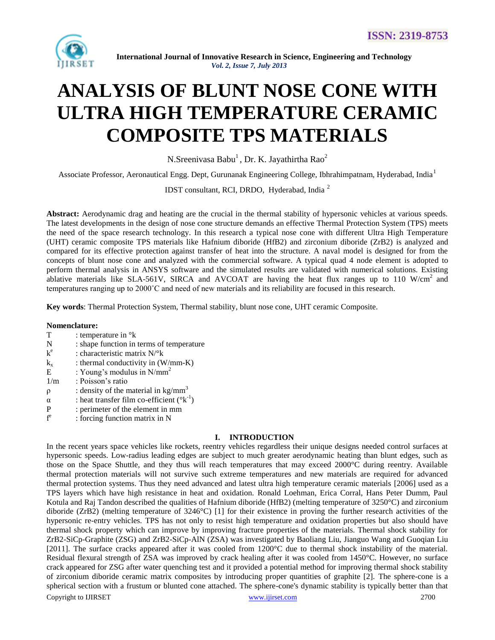

# **ANALYSIS OF BLUNT NOSE CONE WITH ULTRA HIGH TEMPERATURE CERAMIC COMPOSITE TPS MATERIALS**

N.Sreenivasa Babu $^1$ , Dr. K. Jayathirtha Rao<sup>2</sup>

Associate Professor, Aeronautical Engg. Dept, Gurunanak Engineering College, Ibhrahimpatnam, Hyderabad, India<sup>1</sup>

IDST consultant, RCI, DRDO, Hyderabad, India <sup>2</sup>

**Abstract:** Aerodynamic drag and heating are the crucial in the thermal stability of hypersonic vehicles at various speeds. The latest developments in the design of nose cone structure demands an effective Thermal Protection System (TPS) meets the need of the space research technology. In this research a typical nose cone with different Ultra High Temperature (UHT) ceramic composite TPS materials like Hafnium diboride (HfB2) and zirconium diboride (ZrB2) is analyzed and compared for its effective protection against transfer of heat into the structure. A naval model is designed for from the concepts of blunt nose cone and analyzed with the commercial software. A typical quad 4 node element is adopted to perform thermal analysis in ANSYS software and the simulated results are validated with numerical solutions. Existing ablative materials like SLA-561V, SIRCA and AVCOAT are having the heat flux ranges up to 110 W/cm<sup>2</sup> and temperatures ranging up to 2000˚C and need of new materials and its reliability are focused in this research.

**Key words**: Thermal Protection System, Thermal stability, blunt nose cone, UHT ceramic Composite.

## **Nomenclature:**

| <b>T</b><br>: temperature in $\mathrm{R}$ |  |
|-------------------------------------------|--|
|-------------------------------------------|--|

- N : shape function in terms of temperature
- k e : characteristic matrix N/°k
- $k_x$  : thermal conductivity in (W/mm-K)
- E : Young's modulus in  $N/mm^2$
- 1/m : Poisson's ratio
- $ρ$  : density of the material in kg/mm<sup>3</sup>
- $\alpha$  : heat transfer film co-efficient ( $(k^{-1})$ )
- P : perimeter of the element in mm
- f e : forcing function matrix in N

## **I. INTRODUCTION**

Copyright to IJIRSET [www.ijirset.com](http://www.ijirset.com/) 2700 In the recent years space vehicles like rockets, reentry vehicles regardless their unique designs needed control surfaces at hypersonic speeds. Low-radius leading edges are subject to much greater aerodynamic heating than blunt edges, such as those on the Space Shuttle, and they thus will reach temperatures that may exceed 2000°C during reentry. Available thermal protection materials will not survive such extreme temperatures and new materials are required for advanced thermal protection systems. Thus they need advanced and latest ultra high temperature ceramic materials [2006] used as a TPS layers which have high resistance in heat and oxidation. Ronald Loehman, Erica Corral, Hans Peter Dumm, Paul Kotula and Raj Tandon described the qualities of Hafnium diboride (HfB2) (melting temperature of 3250°C) and zirconium diboride (ZrB2) (melting temperature of 3246°C) [1] for their existence in proving the further research activities of the hypersonic re-entry vehicles. TPS has not only to resist high temperature and oxidation properties but also should have thermal shock property which can improve by improving fracture properties of the materials. Thermal shock stability for ZrB2-SiCp-Graphite (ZSG) and ZrB2-SiCp-AlN (ZSA) was investigated by Baoliang Liu, Jianguo Wang and Guoqian Liu [2011]. The surface cracks appeared after it was cooled from 1200°C due to thermal shock instability of the material. Residual flexural strength of ZSA was improved by crack healing after it was cooled from 1450°C. However, no surface crack appeared for ZSG after water quenching test and it provided a potential method for improving thermal shock stability of zirconium diboride ceramic matrix composites by introducing proper quantities of graphite [2]. The sphere-cone is a spherical section with a frustum or blunted cone attached. The sphere-cone's dynamic stability is typically better than that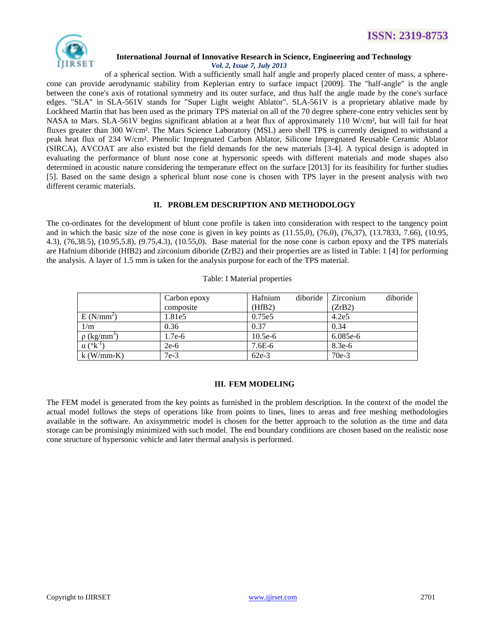

# **International Journal of Innovative Research in Science, Engineering and Technology**

*Vol. 2, Issue 7, July 2013*

of a spherical section. With a sufficiently small half angle and properly placed center of mass, a spherecone can provide aerodynamic stability from Keplerian entry to surface impact [2009]. The "half-angle" is the angle between the cone's axis of rotational symmetry and its outer surface, and thus half the angle made by the cone's surface edges. "SLA" in SLA-561V stands for "Super Light weight Ablator". SLA-561V is a proprietary ablative made by [Lockheed Martin](https://en.wikipedia.org/wiki/Lockheed_Martin) that has been used as the primary TPS material on all of the 70 degree sphere-cone entry vehicles sent by NASA to Mars. SLA-561V begins significant ablation at a heat flux of approximately 110 W/cm², but will fail for heat fluxes greater than 300 W/cm². The [Mars Science Laboratory](https://en.wikipedia.org/wiki/Mars_Science_Laboratory) (MSL) aero shell TPS is currently designed to withstand a peak heat flux of 234 W/cm². Phenolic Impregnated Carbon Ablator, Silicone Impregnated Reusable Ceramic Ablator (SIRCA), AVCOAT are also existed but the field demands for the new materials [3-4]. A typical design is adopted in evaluating the performance of blunt nose cone at hypersonic speeds with different materials and mode shapes also determined in acoustic nature considering the temperature effect on the surface [2013] for its feasibility for further studies [5]. Based on the same design a spherical blunt nose cone is chosen with TPS layer in the present analysis with two different ceramic materials.

## **II. PROBLEM DESCRIPTION AND METHODOLOGY**

The co-ordinates for the development of blunt cone profile is taken into consideration with respect to the tangency point and in which the basic size of the nose cone is given in key points as  $(11.55,0)$ ,  $(76,0)$ ,  $(76,37)$ ,  $(13.7833, 7.66)$ ,  $(10.95,$ 4.3), (76,38.5), (10.95,5.8), (9.75,4.3), (10.55,0). Base material for the nose cone is carbon epoxy and the TPS materials are Hafnium diboride (HfB2) and zirconium diboride (ZrB2) and their properties are as listed in Table: 1 [4] for performing the analysis. A layer of 1.5 mm is taken for the analysis purpose for each of the TPS material.

|                              | Carbon epoxy | Hafnium<br>diboride | diboride<br><i>Zirconium</i> |
|------------------------------|--------------|---------------------|------------------------------|
|                              | composite    | (HfB2)              | (ZrB2)                       |
| E(N/mm <sup>2</sup> )        | 1.81e5       | 0.75e5              | 4.2e <sub>5</sub>            |
| 1/m                          | 0.36         | 0.37                | 0.34                         |
| $\rho$ (kg/mm <sup>3</sup> ) | $1.7e-6$     | $10.5e-6$           | 6.085e-6                     |
| $\alpha$ ( $\mathrm{R}^{-1}$ | $2e-6$       | $7.6E-6$            | $8.3e-6$                     |
| $k$ (W/mm-K)                 | $7e-3$       | $62e-3$             | $70e-3$                      |

Table: I Material properties

## **III. FEM MODELING**

The FEM model is generated from the key points as furnished in the problem description. In the context of the model the actual model follows the steps of operations like from points to lines, lines to areas and free meshing methodologies available in the software. An axisymmetric model is chosen for the better approach to the solution as the time and data storage can be promisingly minimized with such model. The end boundary conditions are chosen based on the realistic nose cone structure of hypersonic vehicle and later thermal analysis is performed.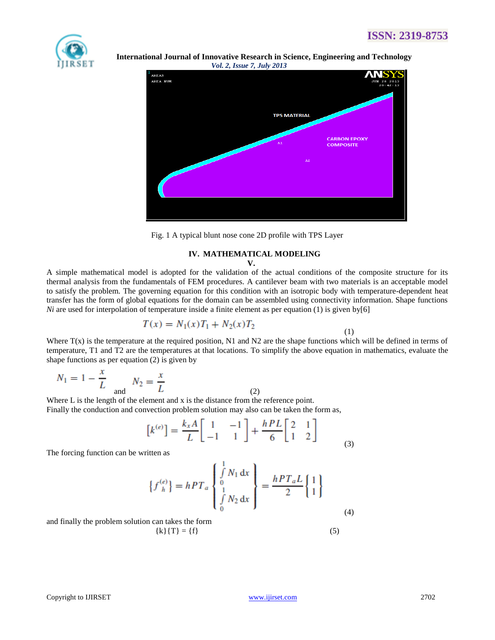

 **International Journal of Innovative Research in Science, Engineering and Technology** *Vol. 2, Issue 7, July 2013*



Fig. 1 A typical blunt nose cone 2D profile with TPS Layer

# **IV. MATHEMATICAL MODELING**

**V.**

A simple mathematical model is adopted for the validation of the actual conditions of the composite structure for its thermal analysis from the fundamentals of FEM procedures. A cantilever beam with two materials is an acceptable model to satisfy the problem. The governing equation for this condition with an isotropic body with temperature-dependent heat transfer has the form of global equations for the domain can be assembled using connectivity information. Shape functions *Ni* are used for interpolation of temperature inside a finite element as per equation (1) is given by[6]

$$
T(x) = N_1(x)T_1 + N_2(x)T_2
$$

(1)

Where  $T(x)$  is the temperature at the required position, N1 and N2 are the shape functions which will be defined in terms of temperature, T1 and T2 are the temperatures at that locations. To simplify the above equation in mathematics, evaluate the shape functions as per equation (2) is given by

$$
N_1 = 1 - \frac{x}{L}
$$
 and  $N_2 = \frac{x}{L}$  (2)

Where L is the length of the element and x is the distance from the reference point. Finally the conduction and convection problem solution may also can be taken the form as,

$$
\begin{bmatrix} k^{(e)} \end{bmatrix} = \frac{k_x A}{L} \begin{bmatrix} 1 & -1 \\ -1 & 1 \end{bmatrix} + \frac{hPL}{6} \begin{bmatrix} 2 & 1 \\ 1 & 2 \end{bmatrix}
$$
 (3)

The forcing function can be written as

$$
\{f_{h}^{(e)}\} = hPT_{a} \begin{Bmatrix} \int_{0}^{1} N_{1} dx \\ 0 \\ \int_{0}^{1} N_{2} dx \end{Bmatrix} = \frac{hPT_{a}L}{2} \begin{Bmatrix} 1 \\ 1 \end{Bmatrix}
$$
\n(4)

and finally the problem solution can takes the form  $\{k\}$ {T} = {f} (5)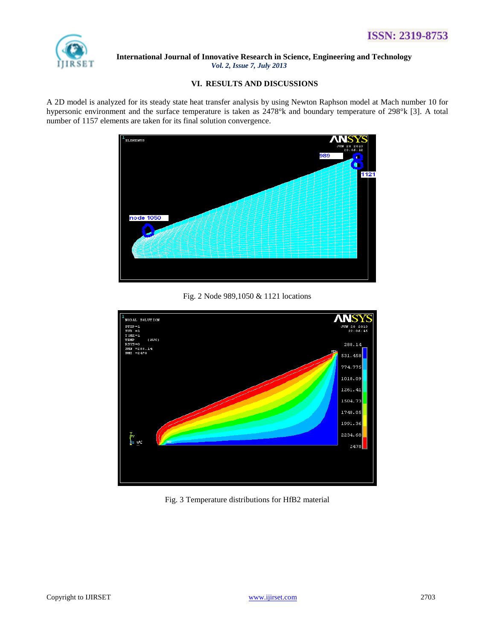

#### **VI. RESULTS AND DISCUSSIONS**

A 2D model is analyzed for its steady state heat transfer analysis by using Newton Raphson model at Mach number 10 for hypersonic environment and the surface temperature is taken as 2478°k and boundary temperature of 298°k [3]. A total number of 1157 elements are taken for its final solution convergence.



Fig. 2 Node 989,1050 & 1121 locations



Fig. 3 Temperature distributions for HfB2 material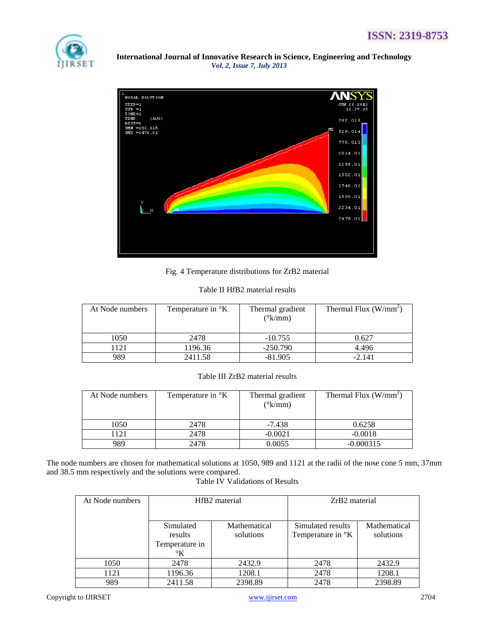



Fig. 4 Temperature distributions for ZrB2 material

|  | Table II HfB2 material results |  |
|--|--------------------------------|--|
|  |                                |  |

| At Node numbers | Temperature in $\mathrm{K}$ | Thermal gradient<br>$(^{\circ}k/mm)$ | Thermal Flux $(W/mm2)$ |
|-----------------|-----------------------------|--------------------------------------|------------------------|
| 1050            | 2478                        | $-10.755$                            | 0.627                  |
| 121             | 1196.36                     | $-250.790$                           | 4.496                  |
| 989             | 2411.58                     | $-81.905$                            | $-2.141$               |

## Table III ZrB2 material results

| At Node numbers | Temperature in $\mathrm{K}$ | Thermal gradient<br>$(^{\circ}k/mm)$ | Thermal Flux $(W/mm^2)$ |
|-----------------|-----------------------------|--------------------------------------|-------------------------|
| 1050            | 2478                        | $-7.438$                             | 0.6258                  |
| 1121            | 2478                        | $-0.0021$                            | $-0.0018$               |
| 989             | 2478                        | 0.0055                               | $-0.000315$             |

The node numbers are chosen for mathematical solutions at 1050, 989 and 1121 at the radii of the nose cone 5 mm, 37mm and 38.5 mm respectively and the solutions were compared.

## Table IV Validations of Results

| At Node numbers | HfB <sub>2</sub> material |              | ZrB <sub>2</sub> material     |              |  |
|-----------------|---------------------------|--------------|-------------------------------|--------------|--|
|                 |                           |              |                               |              |  |
|                 | Simulated                 | Mathematical | Simulated results             | Mathematical |  |
|                 | results                   | solutions    | Temperature in <sup>o</sup> K | solutions    |  |
|                 | Temperature in            |              |                               |              |  |
|                 | $\mathcal{C}$ K           |              |                               |              |  |
| 1050            | 2478                      | 2432.9       | 2478                          | 2432.9       |  |
| 1121            | 1196.36                   | 1208.1       | 2478                          | 1208.1       |  |
| 989             | 2411.58                   | 2398.89      | 2478                          | 2398.89      |  |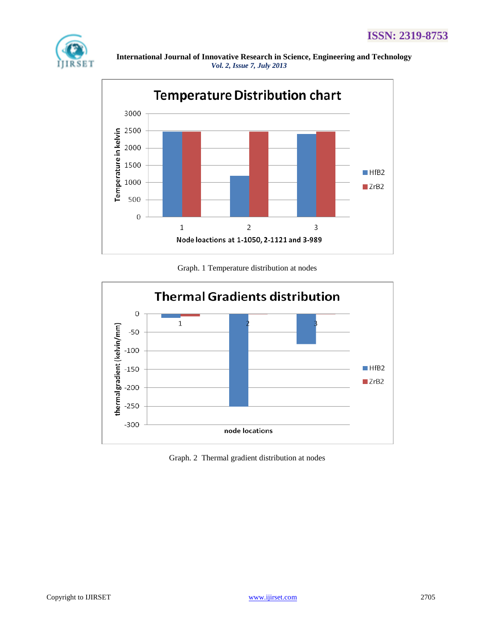



Graph. 1 Temperature distribution at nodes



Graph. 2 Thermal gradient distribution at nodes